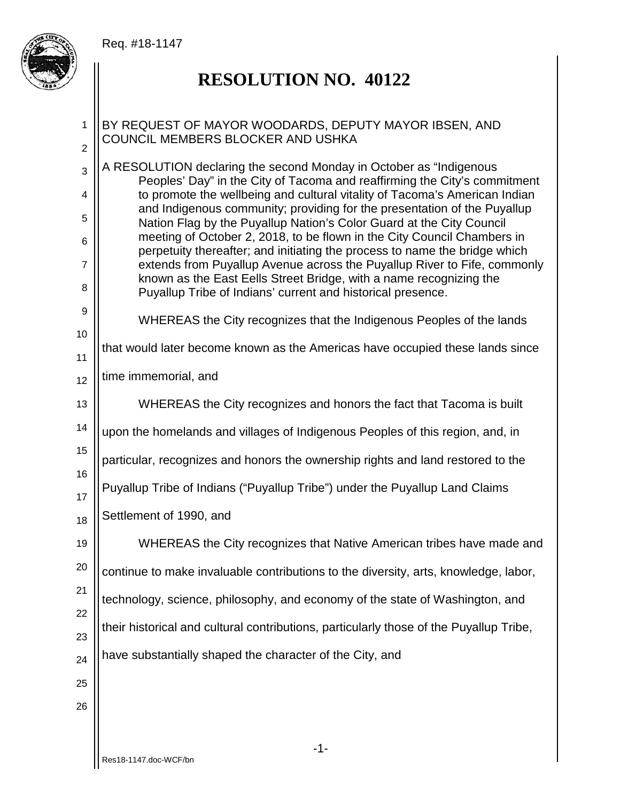## Req. #18-1147



## **RESOLUTION NO. 40122**

## BY REQUEST OF MAYOR WOODARDS, DEPUTY MAYOR IBSEN, AND COUNCIL MEMBERS BLOCKER AND USHKA

A RESOLUTION declaring the second Monday in October as "Indigenous Peoples' Day" in the City of Tacoma and reaffirming the City's commitment to promote the wellbeing and cultural vitality of Tacoma's American Indian and Indigenous community; providing for the presentation of the Puyallup Nation Flag by the Puyallup Nation's Color Guard at the City Council meeting of October 2, 2018, to be flown in the City Council Chambers in perpetuity thereafter; and initiating the process to name the bridge which extends from Puyallup Avenue across the Puyallup River to Fife, commonly known as the East Eells Street Bridge, with a name recognizing the Puyallup Tribe of Indians' current and historical presence.

9 10

11

16

1

2

3

4

5

6

7

8

WHEREAS the City recognizes that the Indigenous Peoples of the lands

## that would later become known as the Americas have occupied these lands since

12 time immemorial, and

13 WHEREAS the City recognizes and honors the fact that Tacoma is built

14 upon the homelands and villages of Indigenous Peoples of this region, and, in

15 particular, recognizes and honors the ownership rights and land restored to the

17 Puyallup Tribe of Indians ("Puyallup Tribe") under the Puyallup Land Claims

18 Settlement of 1990, and

19 WHEREAS the City recognizes that Native American tribes have made and

20 continue to make invaluable contributions to the diversity, arts, knowledge, labor,

21 technology, science, philosophy, and economy of the state of Washington, and

23 their historical and cultural contributions, particularly those of the Puyallup Tribe,

24 have substantially shaped the character of the City, and

25 26

22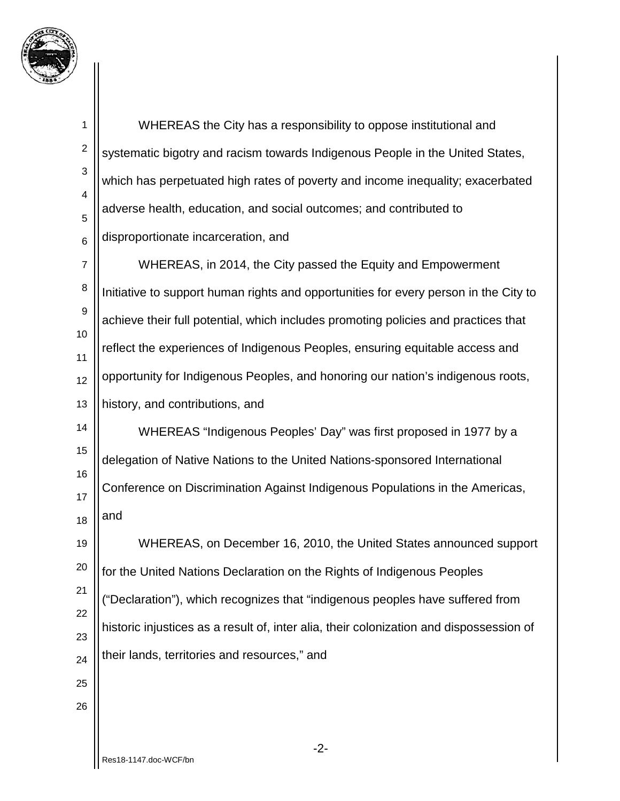

| 1                            | WHEREAS the City has a responsibility to oppose institutional and                       |
|------------------------------|-----------------------------------------------------------------------------------------|
| $\boldsymbol{2}$             | systematic bigotry and racism towards Indigenous People in the United States,           |
| 3                            | which has perpetuated high rates of poverty and income inequality; exacerbated          |
| $\overline{\mathbf{4}}$<br>5 | adverse health, education, and social outcomes; and contributed to                      |
| 6                            | disproportionate incarceration, and                                                     |
| $\overline{7}$               | WHEREAS, in 2014, the City passed the Equity and Empowerment                            |
| $\,$ 8 $\,$                  | Initiative to support human rights and opportunities for every person in the City to    |
| 9                            | achieve their full potential, which includes promoting policies and practices that      |
| 10<br>11                     | reflect the experiences of Indigenous Peoples, ensuring equitable access and            |
| 12                           | opportunity for Indigenous Peoples, and honoring our nation's indigenous roots,         |
| 13                           | history, and contributions, and                                                         |
| 14                           | WHEREAS "Indigenous Peoples' Day" was first proposed in 1977 by a                       |
| 15                           | delegation of Native Nations to the United Nations-sponsored International              |
| 16<br>17                     | Conference on Discrimination Against Indigenous Populations in the Americas,            |
| 18                           | and                                                                                     |
| 19                           | WHEREAS, on December 16, 2010, the United States announced support                      |
| 20                           | for the United Nations Declaration on the Rights of Indigenous Peoples                  |
| 21                           | ("Declaration"), which recognizes that "indigenous peoples have suffered from           |
| 22                           | historic injustices as a result of, inter alia, their colonization and dispossession of |
| 23<br>24                     | their lands, territories and resources," and                                            |
| 25                           |                                                                                         |
| 26                           |                                                                                         |
|                              |                                                                                         |
|                              | $-2-$                                                                                   |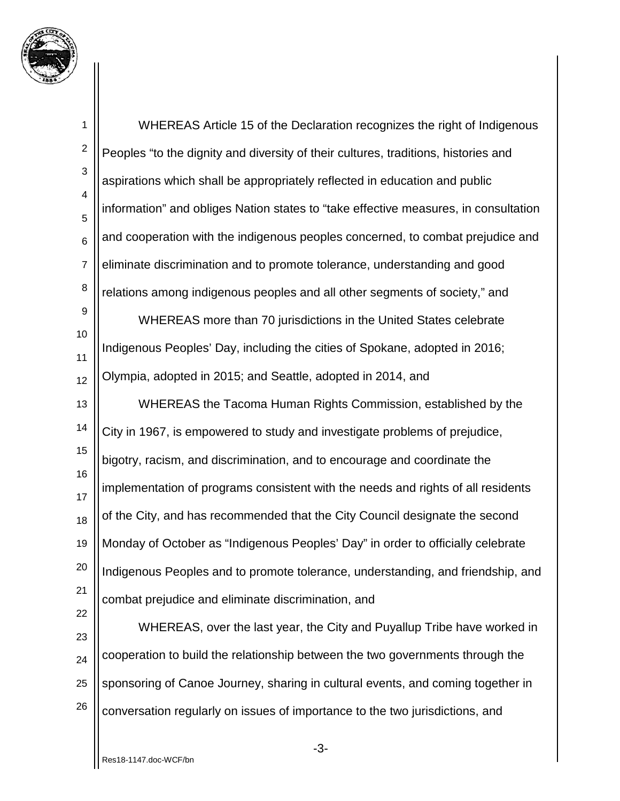

1 2 3 4 5 6 7 8 9 10 11 12 13 14 15 16 17 18 19 20 21 22 23 24 25 26 WHEREAS Article 15 of the Declaration recognizes the right of Indigenous Peoples "to the dignity and diversity of their cultures, traditions, histories and aspirations which shall be appropriately reflected in education and public information" and obliges Nation states to "take effective measures, in consultation and cooperation with the indigenous peoples concerned, to combat prejudice and eliminate discrimination and to promote tolerance, understanding and good relations among indigenous peoples and all other segments of society," and WHEREAS more than 70 jurisdictions in the United States celebrate Indigenous Peoples' Day, including the cities of Spokane, adopted in 2016; Olympia, adopted in 2015; and Seattle, adopted in 2014, and WHEREAS the Tacoma Human Rights Commission, established by the City in 1967, is empowered to study and investigate problems of prejudice, bigotry, racism, and discrimination, and to encourage and coordinate the implementation of programs consistent with the needs and rights of all residents of the City, and has recommended that the City Council designate the second Monday of October as "Indigenous Peoples' Day" in order to officially celebrate Indigenous Peoples and to promote tolerance, understanding, and friendship, and combat prejudice and eliminate discrimination, and WHEREAS, over the last year, the City and Puyallup Tribe have worked in cooperation to build the relationship between the two governments through the sponsoring of Canoe Journey, sharing in cultural events, and coming together in conversation regularly on issues of importance to the two jurisdictions, and

-3-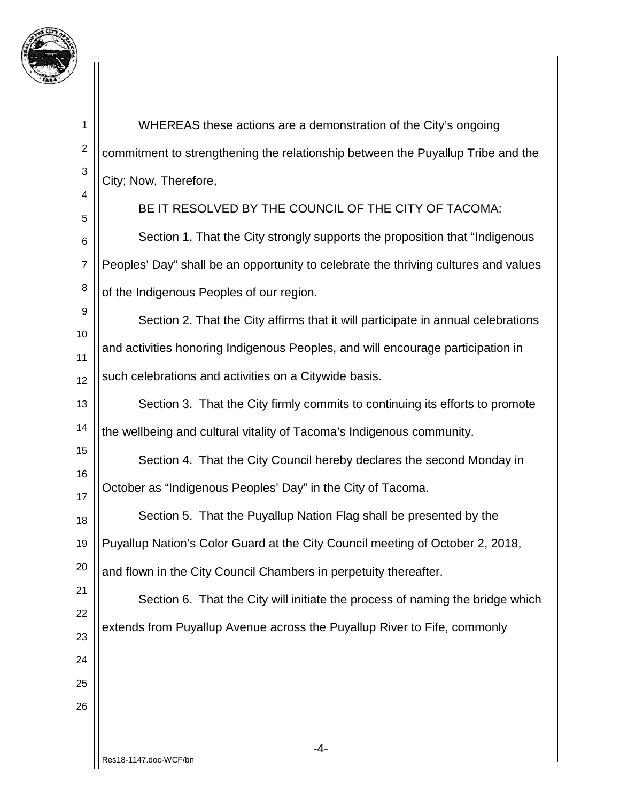

| 1              | WHEREAS these actions are a demonstration of the City's ongoing                     |
|----------------|-------------------------------------------------------------------------------------|
| $\overline{c}$ | commitment to strengthening the relationship between the Puyallup Tribe and the     |
| 3              | City; Now, Therefore,                                                               |
| 4<br>5         | BE IT RESOLVED BY THE COUNCIL OF THE CITY OF TACOMA:                                |
| 6              | Section 1. That the City strongly supports the proposition that "Indigenous"        |
| $\overline{7}$ | Peoples' Day" shall be an opportunity to celebrate the thriving cultures and values |
| 8              | of the Indigenous Peoples of our region.                                            |
| 9              | Section 2. That the City affirms that it will participate in annual celebrations    |
| 10<br>11       | and activities honoring Indigenous Peoples, and will encourage participation in     |
| 12             | such celebrations and activities on a Citywide basis.                               |
| 13             | Section 3. That the City firmly commits to continuing its efforts to promote        |
| 14             | the wellbeing and cultural vitality of Tacoma's Indigenous community.               |
| 15             | Section 4. That the City Council hereby declares the second Monday in               |
| 16<br>17       | October as "Indigenous Peoples' Day" in the City of Tacoma.                         |
| 18             | Section 5. That the Puyallup Nation Flag shall be presented by the                  |
| 19             | Puyallup Nation's Color Guard at the City Council meeting of October 2, 2018,       |
| 20             | and flown in the City Council Chambers in perpetuity thereafter.                    |
| 21             | Section 6. That the City will initiate the process of naming the bridge which       |
| 22<br>23       | extends from Puyallup Avenue across the Puyallup River to Fife, commonly            |
| 24             |                                                                                     |
| 25             |                                                                                     |
| 26             |                                                                                     |
|                |                                                                                     |
|                | -4-                                                                                 |